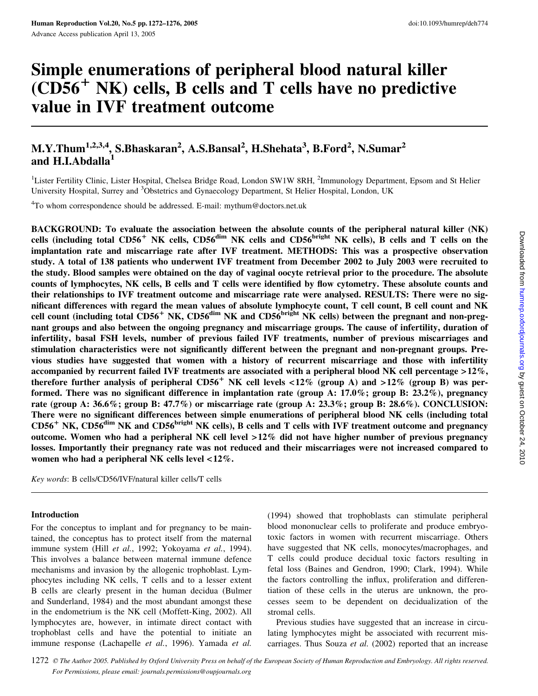# Simple enumerations of peripheral blood natural killer  $(CD56<sup>+</sup> NK)$  cells, B cells and T cells have no predictive value in IVF treatment outcome

# M.Y.Thum<sup>1,2,3,4</sup>, S.Bhaskaran<sup>2</sup>, A.S.Bansal<sup>2</sup>, H.Shehata<sup>3</sup>, B.Ford<sup>2</sup>, N.Sumar<sup>2</sup> and H.I.Abdalla $^{1}$

<sup>1</sup>Lister Fertility Clinic, Lister Hospital, Chelsea Bridge Road, London SW1W 8RH, <sup>2</sup>Immunology Department, Epsom and St Helier University Hospital, Surrey and <sup>3</sup>Obstetrics and Gynaecology Department, St Helier Hospital, London, UK

<sup>4</sup>To whom correspondence should be addressed. E-mail: mythum@doctors.net.uk

BACKGROUND: To evaluate the association between the absolute counts of the peripheral natural killer (NK) cells (including total CD56<sup>+</sup> NK cells, CD56<sup>dim</sup> NK cells and CD56<sup>bright</sup> NK cells), B cells and T cells on the implantation rate and miscarriage rate after IVF treatment. METHODS: This was a prospective observation study. A total of 138 patients who underwent IVF treatment from December 2002 to July 2003 were recruited to the study. Blood samples were obtained on the day of vaginal oocyte retrieval prior to the procedure. The absolute counts of lymphocytes, NK cells, B cells and T cells were identified by flow cytometry. These absolute counts and their relationships to IVF treatment outcome and miscarriage rate were analysed. RESULTS: There were no significant differences with regard the mean values of absolute lymphocyte count, T cell count, B cell count and NK cell count (including total CD56<sup>+</sup> NK, CD56<sup>dim</sup> NK and CD56<sup>bright</sup> NK cells) between the pregnant and non-pregnant groups and also between the ongoing pregnancy and miscarriage groups. The cause of infertility, duration of infertility, basal FSH levels, number of previous failed IVF treatments, number of previous miscarriages and stimulation characteristics were not significantly different between the pregnant and non-pregnant groups. Previous studies have suggested that women with a history of recurrent miscarriage and those with infertility accompanied by recurrent failed IVF treatments are associated with a peripheral blood NK cell percentage  $>12\%$ , therefore further analysis of peripheral  $CD56^+$  NK cell levels <12% (group A) and >12% (group B) was performed. There was no significant difference in implantation rate (group A:  $17.0\%$ ; group B:  $23.2\%$ ), pregnancy rate (group A: 36.6%; group B: 47.7%) or miscarriage rate (group A: 23.3%; group B: 28.6%). CONCLUSION: There were no significant differences between simple enumerations of peripheral blood NK cells (including total CD56<sup>+</sup> NK, CD56<sup>dim</sup> NK and CD56<sup>bright</sup> NK cells), B cells and T cells with IVF treatment outcome and pregnancy outcome. Women who had a peripheral NK cell level >12% did not have higher number of previous pregnancy losses. Importantly their pregnancy rate was not reduced and their miscarriages were not increased compared to women who had a peripheral NK cells level <12%.

Key words: B cells/CD56/IVF/natural killer cells/T cells

#### Introduction

For the conceptus to implant and for pregnancy to be maintained, the conceptus has to protect itself from the maternal immune system (Hill et al., 1992; Yokoyama et al., 1994). This involves a balance between maternal immune defence mechanisms and invasion by the allogenic trophoblast. Lymphocytes including NK cells, T cells and to a lesser extent B cells are clearly present in the human decidua (Bulmer and Sunderland, 1984) and the most abundant amongst these in the endometrium is the NK cell (Moffett-King, 2002). All lymphocytes are, however, in intimate direct contact with trophoblast cells and have the potential to initiate an immune response (Lachapelle et al., 1996). Yamada et al.

(1994) showed that trophoblasts can stimulate peripheral blood mononuclear cells to proliferate and produce embryotoxic factors in women with recurrent miscarriage. Others have suggested that NK cells, monocytes/macrophages, and T cells could produce decidual toxic factors resulting in fetal loss (Baines and Gendron, 1990; Clark, 1994). While the factors controlling the influx, proliferation and differentiation of these cells in the uterus are unknown, the processes seem to be dependent on decidualization of the stromal cells.

Previous studies have suggested that an increase in circulating lymphocytes might be associated with recurrent miscarriages. Thus Souza et al. (2002) reported that an increase

1272 © The Author 2005. Published by Oxford University Press on behalf of the European Society of Human Reproduction and Embryology. All rights reserved. For Permissions, please email: journals.permissions@oupjournals.org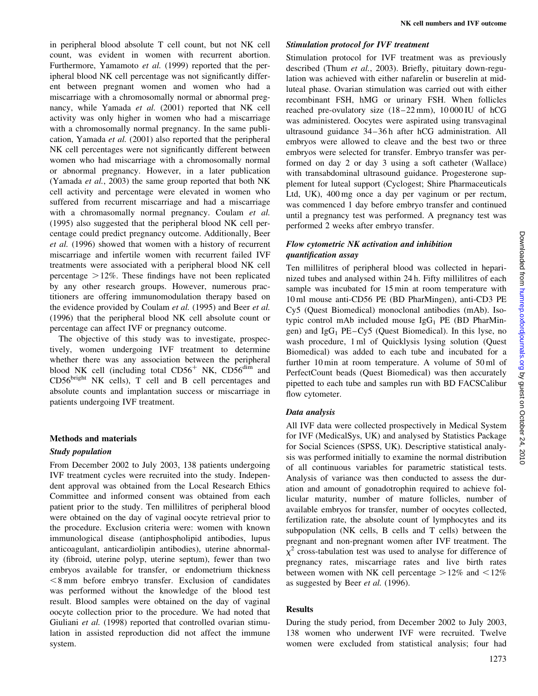in peripheral blood absolute T cell count, but not NK cell count, was evident in women with recurrent abortion. Furthermore, Yamamoto et al. (1999) reported that the peripheral blood NK cell percentage was not significantly different between pregnant women and women who had a miscarriage with a chromosomally normal or abnormal pregnancy, while Yamada et al. (2001) reported that NK cell activity was only higher in women who had a miscarriage with a chromosomally normal pregnancy. In the same publication, Yamada et al. (2001) also reported that the peripheral NK cell percentages were not significantly different between women who had miscarriage with a chromosomally normal or abnormal pregnancy. However, in a later publication (Yamada et al., 2003) the same group reported that both NK cell activity and percentage were elevated in women who suffered from recurrent miscarriage and had a miscarriage with a chromasomally normal pregnancy. Coulam et al. (1995) also suggested that the peripheral blood NK cell percentage could predict pregnancy outcome. Additionally, Beer et al. (1996) showed that women with a history of recurrent miscarriage and infertile women with recurrent failed IVF treatments were associated with a peripheral blood NK cell percentage  $>12\%$ . These findings have not been replicated by any other research groups. However, numerous practitioners are offering immunomodulation therapy based on the evidence provided by Coulam et al. (1995) and Beer et al. (1996) that the peripheral blood NK cell absolute count or percentage can affect IVF or pregnancy outcome.

The objective of this study was to investigate, prospectively, women undergoing IVF treatment to determine whether there was any association between the peripheral blood NK cell (including total  $CD56<sup>+</sup>$  NK,  $CD56<sup>dim</sup>$  and CD56bright NK cells), T cell and B cell percentages and absolute counts and implantation success or miscarriage in patients undergoing IVF treatment.

# Methods and materials

# Study population

From December 2002 to July 2003, 138 patients undergoing IVF treatment cycles were recruited into the study. Independent approval was obtained from the Local Research Ethics Committee and informed consent was obtained from each patient prior to the study. Ten millilitres of peripheral blood were obtained on the day of vaginal oocyte retrieval prior to the procedure. Exclusion criteria were: women with known immunological disease (antiphospholipid antibodies, lupus anticoagulant, anticardiolipin antibodies), uterine abnormality (fibroid, uterine polyp, uterine septum), fewer than two embryos available for transfer, or endometrium thickness  $<$ 8 mm before embryo transfer. Exclusion of candidates was performed without the knowledge of the blood test result. Blood samples were obtained on the day of vaginal oocyte collection prior to the procedure. We had noted that Giuliani et al. (1998) reported that controlled ovarian stimulation in assisted reproduction did not affect the immune system.

# Stimulation protocol for IVF treatment

Stimulation protocol for IVF treatment was as previously described (Thum et al., 2003). Briefly, pituitary down-regulation was achieved with either nafarelin or buserelin at midluteal phase. Ovarian stimulation was carried out with either recombinant FSH, hMG or urinary FSH. When follicles reached pre-ovulatory size (18–22 mm), 10 000 IU of hCG was administered. Oocytes were aspirated using transvaginal ultrasound guidance 34–36 h after hCG administration. All embryos were allowed to cleave and the best two or three embryos were selected for transfer. Embryo transfer was performed on day 2 or day 3 using a soft catheter (Wallace) with transabdominal ultrasound guidance. Progesterone supplement for luteal support (Cyclogest; Shire Pharmaceuticals Ltd, UK), 400 mg once a day per vaginum or per rectum, was commenced 1 day before embryo transfer and continued until a pregnancy test was performed. A pregnancy test was performed 2 weeks after embryo transfer.

# Flow cytometric NK activation and inhibition quantification assay

Ten millilitres of peripheral blood was collected in heparinized tubes and analysed within 24 h. Fifty millilitres of each sample was incubated for 15 min at room temperature with 10 ml mouse anti-CD56 PE (BD PharMingen), anti-CD3 PE Cy5 (Quest Biomedical) monoclonal antibodies (mAb). Isotypic control mAb included mouse  $IgG_1$  PE (BD PharMingen) and  $IgG_1$  PE–Cy5 (Quest Biomedical). In this lyse, no wash procedure, 1 ml of Quicklysis lysing solution (Quest Biomedical) was added to each tube and incubated for a further 10 min at room temperature. A volume of 50 ml of PerfectCount beads (Quest Biomedical) was then accurately pipetted to each tube and samples run with BD FACSCalibur flow cytometer.

# Data analysis

All IVF data were collected prospectively in Medical System for IVF (MedicalSys, UK) and analysed by Statistics Package for Social Sciences (SPSS, UK). Descriptive statistical analysis was performed initially to examine the normal distribution of all continuous variables for parametric statistical tests. Analysis of variance was then conducted to assess the duration and amount of gonadotrophin required to achieve follicular maturity, number of mature follicles, number of available embryos for transfer, number of oocytes collected, fertilization rate, the absolute count of lymphocytes and its subpopulation (NK cells, B cells and T cells) between the pregnant and non-pregnant women after IVF treatment. The  $\chi^2$  cross-tabulation test was used to analyse for difference of pregnancy rates, miscarriage rates and live birth rates between women with NK cell percentage  $>12\%$  and  $<12\%$ as suggested by Beer et al. (1996).

# Results

During the study period, from December 2002 to July 2003, 138 women who underwent IVF were recruited. Twelve women were excluded from statistical analysis; four had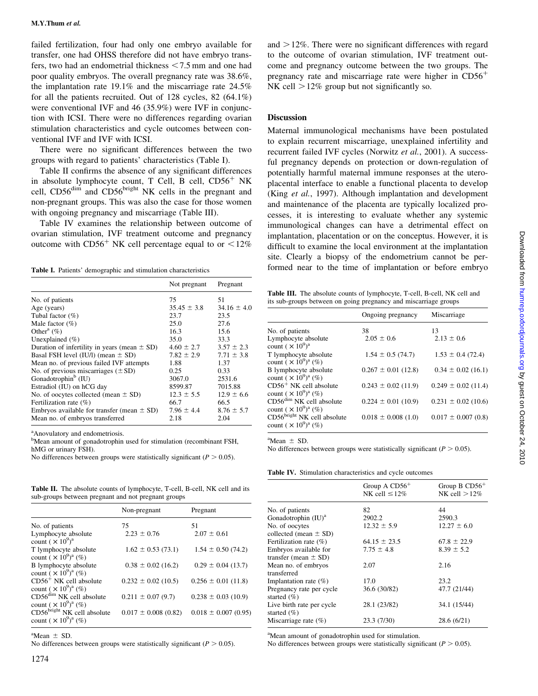failed fertilization, four had only one embryo available for transfer, one had OHSS therefore did not have embryo transfers, two had an endometrial thickness  $< 7.5$  mm and one had poor quality embryos. The overall pregnancy rate was 38.6%, the implantation rate 19.1% and the miscarriage rate 24.5% for all the patients recruited. Out of 128 cycles, 82 (64.1%) were conventional IVF and 46 (35.9%) were IVF in conjunction with ICSI. There were no differences regarding ovarian stimulation characteristics and cycle outcomes between conventional IVF and IVF with ICSI.

There were no significant differences between the two groups with regard to patients' characteristics (Table I).

Table II confirms the absence of any significant differences in absolute lymphocyte count, T Cell, B cell,  $CD56<sup>+</sup>$  NK cell, CD56<sup>dim</sup> and CD56<sup>bright</sup> NK cells in the pregnant and non-pregnant groups. This was also the case for those women with ongoing pregnancy and miscarriage (Table III).

Table IV examines the relationship between outcome of ovarian stimulation, IVF treatment outcome and pregnancy outcome with  $CD56<sup>+</sup>$  NK cell percentage equal to or  $\leq 12\%$ 

|                                                  | Not pregnant    | Pregnant        |
|--------------------------------------------------|-----------------|-----------------|
| No. of patients                                  | 75              | 51              |
| Age (years)                                      | $35.45 \pm 3.8$ | $34.16 \pm 4.0$ |
| Tubal factor $(\%)$                              | 23.7            | 23.5            |
| Male factor $(\%)$                               | 25.0            | 27.6            |
| Other <sup>a</sup> $(\%)$                        | 16.3            | 15.6            |
| Unexplained $(\% )$                              | 35.0            | 33.3            |
| Duration of infertility in years (mean $\pm$ SD) | $4.60 \pm 2.7$  | $3.57 \pm 2.3$  |
| Basal FSH level (IU/l) (mean $\pm$ SD)           | $7.82 \pm 2.9$  | $7.71 \pm 3.8$  |
| Mean no. of previous failed IVF attempts         | 1.88            | 1.37            |
| No. of previous miscarriages $(\pm SD)$          | 0.25            | 0.33            |
| Gonadotrophin <sup>b</sup> (IU)                  | 3067.0          | 2531.6          |
| Estradiol (IU) on hCG day                        | 8599.87         | 7015.88         |
| No. of oocytes collected (mean $\pm$ SD)         | $12.3 \pm 5.5$  | $12.9 \pm 6.6$  |
| Fertilization rate $(\%)$                        | 66.7            | 66.5            |
| Embryos available for transfer (mean $\pm$ SD)   | $7.96 \pm 4.4$  | $8.76 \pm 5.7$  |
| Mean no. of embryos transferred                  | 2.18            | 2.04            |

a Anovulatory and endometriosis.

<sup>b</sup>Mean amount of gonadotrophin used for stimulation (recombinant FSH, hMG or urinary FSH).

No differences between groups were statistically significant ( $P > 0.05$ ).

Table II. The absolute counts of lymphocyte, T-cell, B-cell, NK cell and its sub-groups between pregnant and not pregnant groups

|                                                                     | Non-pregnant             | Pregnant                 |
|---------------------------------------------------------------------|--------------------------|--------------------------|
| No. of patients                                                     | 75                       | 51                       |
| Lymphocyte absolute<br>count $(\times 10^9)^a$                      | $2.23 \pm 0.76$          | $2.07 \pm 0.61$          |
| T lymphocyte absolute<br>count $(\times 10^{9})^a$ (%)              | $1.62 \pm 0.53(73.1)$    | $1.54 \pm 0.50$ (74.2)   |
| B lymphocyte absolute<br>count $(\times 10^9)^a$ (%)                | $0.38 \pm 0.02$ (16.2)   | $0.29 \pm 0.04$ (13.7)   |
| $CD56^+$ NK cell absolute<br>count $(\times 10^9)^a$ (%)            | $0.232 \pm 0.02$ (10.5)  | $0.256 \pm 0.01$ (11.8)  |
| CD56 <sup>dim</sup> NK cell absolute<br>count $(\times 10^9)^a$ (%) | $0.211 \pm 0.07$ (9.7)   | $0.238 \pm 0.03$ (10.9)  |
| $CD56bright NK cell absolute$<br>count $(\times 10^9)^a$ (%)        | $0.017 \pm 0.008$ (0.82) | $0.018 \pm 0.007$ (0.95) |

 ${}^{\rm a}$ Mean  $\pm$  SD.

No differences between groups were statistically significant ( $P > 0.05$ ).

and  $>12\%$ . There were no significant differences with regard to the outcome of ovarian stimulation, IVF treatment outcome and pregnancy outcome between the two groups. The pregnancy rate and miscarriage rate were higher in  $CD56<sup>+</sup>$ NK cell  $>12\%$  group but not significantly so.

#### **Discussion**

Maternal immunological mechanisms have been postulated to explain recurrent miscarriage, unexplained infertility and recurrent failed IVF cycles (Norwitz et al., 2001). A successful pregnancy depends on protection or down-regulation of potentially harmful maternal immune responses at the uteroplacental interface to enable a functional placenta to develop (King et al., 1997). Although implantation and development and maintenance of the placenta are typically localized processes, it is interesting to evaluate whether any systemic immunological changes can have a detrimental effect on implantation, placentation or on the conceptus. However, it is difficult to examine the local environment at the implantation site. Clearly a biopsy of the endometrium cannot be performed near to the time of implantation or before embryo Table I. Patients' demographic and stimulation characteristics

Table III. The absolute counts of lymphocyte, T-cell, B-cell, NK cell and its sub-groups between on going pregnancy and miscarriage groups

|                                                                     | Ongoing pregnancy       | Miscarriage             |
|---------------------------------------------------------------------|-------------------------|-------------------------|
| No. of patients                                                     | 38                      | 13                      |
| Lymphocyte absolute<br>count $(\times 10^9)^a$                      | $2.05 \pm 0.6$          | $2.13 \pm 0.6$          |
| T lymphocyte absolute<br>count $(\times 10^{9})^a$ (%)              | $1.54 \pm 0.5$ (74.7)   | $1.53 \pm 0.4$ (72.4)   |
| B lymphocyte absolute<br>count $(X 10^{9})^a$ (%)                   | $0.267 \pm 0.01$ (12.8) | $0.34 \pm 0.02$ (16.1)  |
| $CD56+ NK cell absolute$<br>count $(\times 10^9)^a$ (%)             | $0.243 \pm 0.02$ (11.9) | $0.249 \pm 0.02$ (11.4) |
| CD56 <sup>dim</sup> NK cell absolute<br>count $(\times 10^9)^a$ (%) | $0.224 \pm 0.01$ (10.9) | $0.231 \pm 0.02$ (10.6) |
| $CD56bright NK cell absolute$<br>count $(\times 10^9)^a$ (%)        | $0.018 \pm 0.008$ (1.0) | $0.017 \pm 0.007$ (0.8) |
|                                                                     |                         |                         |

 ${}^{\text{a}}$ Mean  $\pm$  SD.

No differences between groups were statistically significant ( $P > 0.05$ ).

Table IV. Stimulation characteristics and cycle outcomes

|                                              | Group A $CD56+$<br>NK cell $\leq 12\%$ | Group B $CD56+$<br>NK cell $>12\%$ |
|----------------------------------------------|----------------------------------------|------------------------------------|
| No. of patients                              | 82                                     | 44                                 |
| Gonadotrophin $(IU)^a$                       | 2902.2                                 | 2590.3                             |
| No. of oocytes                               | $12.32 \pm 5.9$                        | $12.27 \pm 6.0$                    |
| collected (mean $\pm$ SD)                    |                                        |                                    |
| Fertilization rate $(\%)$                    | $64.15 \pm 23.5$                       | $67.8 \pm 22.9$                    |
| Embryos available for                        | $7.75 \pm 4.8$                         | $8.39 \pm 5.2$                     |
| transfer (mean $\pm$ SD)                     |                                        |                                    |
| Mean no. of embryos                          | 2.07                                   | 2.16                               |
| transferred                                  |                                        |                                    |
| Implantation rate $(\%)$                     | 17.0                                   | 23.2                               |
| Pregnancy rate per cycle<br>started $(\% )$  | 36.6 (30/82)                           | 47.7 (21/44)                       |
| Live birth rate per cycle<br>started $(\% )$ | 28.1 (23/82)                           | 34.1 (15/44)                       |
| Miscarriage rate $(\%)$                      | 23.3 (7/30)                            | 28.6 (6/21)                        |

<sup>a</sup>Mean amount of gonadotrophin used for stimulation.

No differences between groups were statistically significant ( $P > 0.05$ ).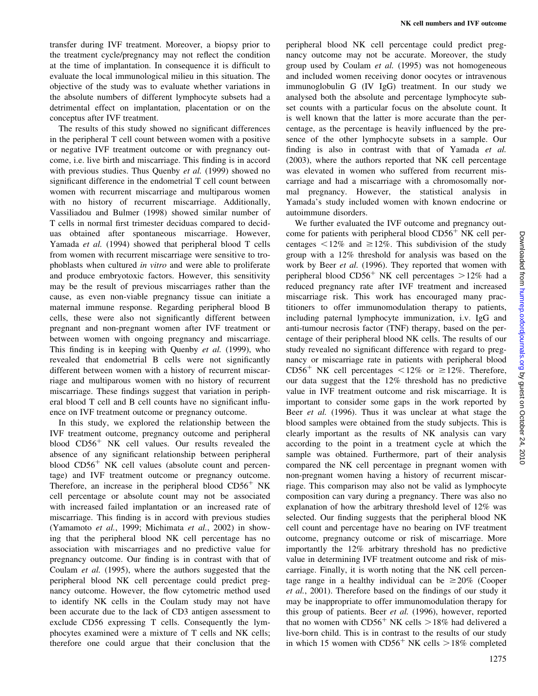transfer during IVF treatment. Moreover, a biopsy prior to the treatment cycle/pregnancy may not reflect the condition at the time of implantation. In consequence it is difficult to evaluate the local immunological milieu in this situation. The objective of the study was to evaluate whether variations in the absolute numbers of different lymphocyte subsets had a detrimental effect on implantation, placentation or on the conceptus after IVF treatment.

The results of this study showed no significant differences in the peripheral T cell count between women with a positive or negative IVF treatment outcome or with pregnancy outcome, i.e. live birth and miscarriage. This finding is in accord with previous studies. Thus Quenby et al. (1999) showed no significant difference in the endometrial T cell count between women with recurrent miscarriage and multiparous women with no history of recurrent miscarriage. Additionally, Vassiliadou and Bulmer (1998) showed similar number of T cells in normal first trimester deciduas compared to deciduas obtained after spontaneous miscarriage. However, Yamada et al. (1994) showed that peripheral blood T cells from women with recurrent miscarriage were sensitive to trophoblasts when cultured in vitro and were able to proliferate and produce embryotoxic factors. However, this sensitivity may be the result of previous miscarriages rather than the cause, as even non-viable pregnancy tissue can initiate a maternal immune response. Regarding peripheral blood B cells, these were also not significantly different between pregnant and non-pregnant women after IVF treatment or between women with ongoing pregnancy and miscarriage. This finding is in keeping with Quenby et al. (1999), who revealed that endometrial B cells were not significantly different between women with a history of recurrent miscarriage and multiparous women with no history of recurrent miscarriage. These findings suggest that variation in peripheral blood T cell and B cell counts have no significant influence on IVF treatment outcome or pregnancy outcome.

In this study, we explored the relationship between the IVF treatment outcome, pregnancy outcome and peripheral blood  $CD56<sup>+</sup>$  NK cell values. Our results revealed the absence of any significant relationship between peripheral blood  $CD56<sup>+</sup>$  NK cell values (absolute count and percentage) and IVF treatment outcome or pregnancy outcome. Therefore, an increase in the peripheral blood  $CD56<sup>+</sup>$  NK cell percentage or absolute count may not be associated with increased failed implantation or an increased rate of miscarriage. This finding is in accord with previous studies (Yamamoto et al., 1999; Michimata et al., 2002) in showing that the peripheral blood NK cell percentage has no association with miscarriages and no predictive value for pregnancy outcome. Our finding is in contrast with that of Coulam et al. (1995), where the authors suggested that the peripheral blood NK cell percentage could predict pregnancy outcome. However, the flow cytometric method used to identify NK cells in the Coulam study may not have been accurate due to the lack of CD3 antigen assessment to exclude CD56 expressing T cells. Consequently the lymphocytes examined were a mixture of T cells and NK cells; therefore one could argue that their conclusion that the

peripheral blood NK cell percentage could predict pregnancy outcome may not be accurate. Moreover, the study group used by Coulam et al. (1995) was not homogeneous and included women receiving donor oocytes or intravenous immunoglobulin G (IV IgG) treatment. In our study we analysed both the absolute and percentage lymphocyte subset counts with a particular focus on the absolute count. It is well known that the latter is more accurate than the percentage, as the percentage is heavily influenced by the presence of the other lymphocyte subsets in a sample. Our finding is also in contrast with that of Yamada et al. (2003), where the authors reported that NK cell percentage was elevated in women who suffered from recurrent miscarriage and had a miscarriage with a chromosomally normal pregnancy. However, the statistical analysis in Yamada's study included women with known endocrine or autoimmune disorders.

We further evaluated the IVF outcome and pregnancy outcome for patients with peripheral blood  $CD56<sup>+</sup>$  NK cell percentages  $\leq 12\%$  and  $\geq 12\%$ . This subdivision of the study group with a 12% threshold for analysis was based on the work by Beer et al. (1996). They reported that women with peripheral blood  $CD56<sup>+</sup>$  NK cell percentages  $>12\%$  had a reduced pregnancy rate after IVF treatment and increased miscarriage risk. This work has encouraged many practitioners to offer immunomodulation therapy to patients, including paternal lymphocyte immunization, i.v. IgG and anti-tumour necrosis factor (TNF) therapy, based on the percentage of their peripheral blood NK cells. The results of our study revealed no significant difference with regard to pregnancy or miscarriage rate in patients with peripheral blood  $CD56<sup>+</sup>$  NK cell percentages  $\lt 12\%$  or  $\ge 12\%$ . Therefore, our data suggest that the 12% threshold has no predictive value in IVF treatment outcome and risk miscarriage. It is important to consider some gaps in the work reported by Beer *et al.* (1996). Thus it was unclear at what stage the blood samples were obtained from the study subjects. This is clearly important as the results of NK analysis can vary according to the point in a treatment cycle at which the sample was obtained. Furthermore, part of their analysis compared the NK cell percentage in pregnant women with non-pregnant women having a history of recurrent miscarriage. This comparison may also not be valid as lymphocyte composition can vary during a pregnancy. There was also no explanation of how the arbitrary threshold level of 12% was selected. Our finding suggests that the peripheral blood NK cell count and percentage have no bearing on IVF treatment outcome, pregnancy outcome or risk of miscarriage. More importantly the 12% arbitrary threshold has no predictive value in determining IVF treatment outcome and risk of miscarriage. Finally, it is worth noting that the NK cell percentage range in a healthy individual can be  $\geq 20\%$  (Cooper et al., 2001). Therefore based on the findings of our study it may be inappropriate to offer immunomodulation therapy for this group of patients. Beer et al. (1996), however, reported that no women with  $CD56<sup>+</sup>$  NK cells  $>18\%$  had delivered a live-born child. This is in contrast to the results of our study in which 15 women with  $CD56<sup>+</sup>$  NK cells  $>18\%$  completed